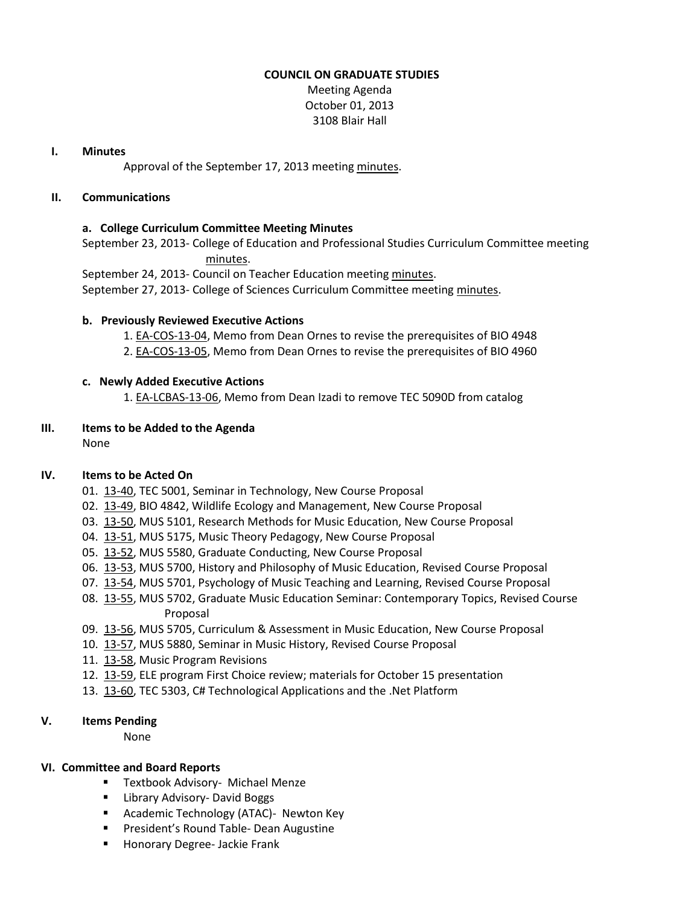#### **COUNCIL ON GRADUATE STUDIES**

Meeting Agenda October 01, 2013 3108 Blair Hall

#### **I. Minutes**

Approval of the September 17, 2013 meeting [minutes.](http://castle.eiu.edu/eiucgs/currentminutes/Minutes09-17-13.pdf)

## **II. Communications**

## **a. College Curriculum Committee Meeting Minutes**

September 23, 2013- College of Education and Professional Studies Curriculum Committee meeting [minutes.](http://castle.eiu.edu/~eiucgs/currentagendaitems/CEPSMin9-23-13.pdf)

September 24, 2013- Council on Teacher Education meetin[g minutes.](http://castle.eiu.edu/~eiucgs/currentagendaitems/COTEMin9-24-13.pdf)

September 27, 2013- College of Sciences Curriculum Committee meetin[g minutes.](http://castle.eiu.edu/~eiucgs/currentagendaitems/COSMin9-27-13.pdf)

## **b. Previously Reviewed Executive Actions**

1. [EA-COS-13-04,](http://castle.eiu.edu/~eiucgs/exec-actions/EA-COS-13-04.pdf) Memo from Dean Ornes to revise the prerequisites of BIO 4948

2. [EA-COS-13-05,](http://castle.eiu.edu/~eiucgs/exec-actions/EA-COS-13-05.pdf) Memo from Dean Ornes to revise the prerequisites of BIO 4960

## **c. Newly Added Executive Actions**

1. [EA-LCBAS-13-06,](http://castle.eiu.edu/~eiucgs/exec-actions/EA-LCBAS-13-06.pdf) Memo from Dean Izadi to remove TEC 5090D from catalog

## **III. Items to be Added to the Agenda**

None

## **IV. Items to be Acted On**

- 01. [13-40,](http://castle.eiu.edu/~eiucgs/currentagendaitems/agenda13-40.pdf) TEC 5001, Seminar in Technology, New Course Proposal
- 02. [13-49,](http://castle.eiu.edu/~eiucgs/currentagendaitems/agenda13-49.pdf) BIO 4842, Wildlife Ecology and Management, New Course Proposal
- 03. [13-50,](http://castle.eiu.edu/~eiucgs/currentagendaitems/agenda13-50.pdf) MUS 5101, Research Methods for Music Education, New Course Proposal
- 04. [13-51,](http://castle.eiu.edu/~eiucgs/currentagendaitems/agenda13-51.pdf) MUS 5175, Music Theory Pedagogy, New Course Proposal
- 05. [13-52,](http://castle.eiu.edu/~eiucgs/currentagendaitems/agenda13-52.pdf) MUS 5580, Graduate Conducting, New Course Proposal
- 06. [13-53,](http://castle.eiu.edu/~eiucgs/currentagendaitems/agenda13-53.pdf) MUS 5700, History and Philosophy of Music Education, Revised Course Proposal
- 07. [13-54,](http://castle.eiu.edu/~eiucgs/currentagendaitems/agenda13-54.pdf) MUS 5701, Psychology of Music Teaching and Learning, Revised Course Proposal
- 08. [13-55,](http://castle.eiu.edu/~eiucgs/currentagendaitems/agenda13-55.pdf) MUS 5702, Graduate Music Education Seminar: Contemporary Topics, Revised Course Proposal
- 09. [13-56,](http://castle.eiu.edu/~eiucgs/currentagendaitems/agenda13-56.pdf) MUS 5705, Curriculum & Assessment in Music Education, New Course Proposal
- 10. [13-57,](http://castle.eiu.edu/~eiucgs/currentagendaitems/agenda13-57.pdf) MUS 5880, Seminar in Music History, Revised Course Proposal
- 11. [13-58,](http://castle.eiu.edu/~eiucgs/currentagendaitems/agenda13-58.pdf) Music Program Revisions
- 12. [13-59,](http://castle.eiu.edu/~eiucgs/currentagendaitems/agenda13-59.pdf) ELE program First Choice review; materials for October 15 presentation
- 13. [13-60,](http://castle.eiu.edu/~eiucgs/currentagendaitems/agenda13-60.pdf) TEC 5303, C# Technological Applications and the .Net Platform

## **V. Items Pending**

None

## **VI. Committee and Board Reports**

- **Textbook Advisory- Michael Menze**
- **E** Library Advisory- David Boggs
- **Academic Technology (ATAC)- Newton Key**
- **President's Round Table- Dean Augustine**
- **Honorary Degree- Jackie Frank**